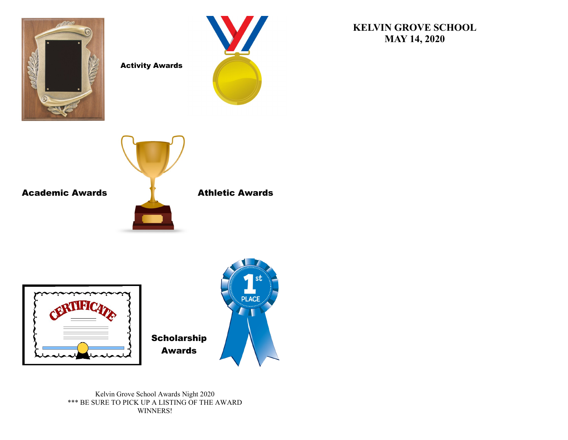

Activity Awards



Academic Awards **Athletic Awards** 



Kelvin Grove School Awards Night 2020 \*\*\* BE SURE TO PICK UP A LISTING OF THE AWARD WINNERS!

## **KELVIN GROVE SCHOOL MAY 14, 2020**